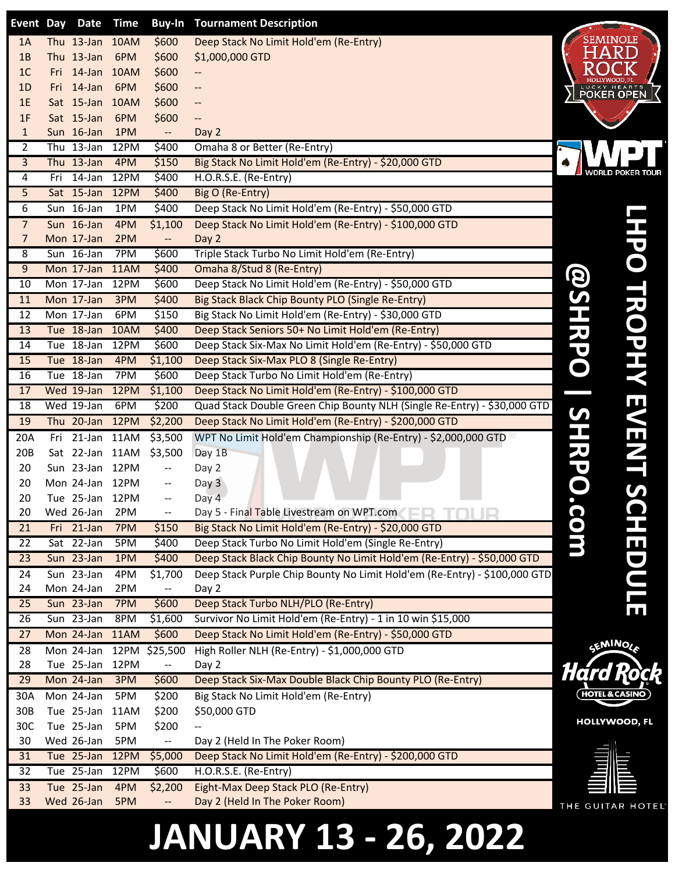|                 | Event Day Date           | <b>Time</b> |                          | <b>Buy-In Tournament Description</b>                                      |                           |                  |
|-----------------|--------------------------|-------------|--------------------------|---------------------------------------------------------------------------|---------------------------|------------------|
| 1A              | Thu 13-Jan 10AM          |             | \$600                    | Deep Stack No Limit Hold'em (Re-Entry)                                    | <b>SEMINOLE</b>           |                  |
| 1B              | Thu 13-Jan               | 6PM         | \$600                    | \$1,000,000 GTD                                                           | HARD                      |                  |
| 1 <sub>C</sub>  | Fri 14-Jan 10AM          |             | \$600                    |                                                                           |                           |                  |
| 1D              | Fri 14-Jan               | 6PM         | \$600                    | --                                                                        | <b>LUCKY HEARTS</b>       |                  |
| 1E              | Sat 15-Jan 10AM          |             | \$600                    | --                                                                        |                           |                  |
| 1F              | Sat 15-Jan               | 6PM         | \$600                    | --                                                                        |                           |                  |
| $\mathbf{1}$    | Sun 16-Jan               | 1PM         | $\Box$                   | Day 2                                                                     |                           |                  |
| $\overline{2}$  | Thu 13-Jan               | 12PM        | \$400                    | Omaha 8 or Better (Re-Entry)                                              |                           |                  |
| $\overline{3}$  | Thu 13-Jan               | 4PM         | \$150                    | Big Stack No Limit Hold'em (Re-Entry) - \$20,000 GTD                      |                           |                  |
| $\overline{4}$  | Fri 14-Jan               | 12PM        | \$400                    | H.O.R.S.E. (Re-Entry)                                                     |                           | WORLD POKER TOUR |
| 5               | Sat 15-Jan               | 12PM        | \$400                    | Big O (Re-Entry)                                                          |                           |                  |
| 6               | Sun 16-Jan               | 1PM         | \$400                    | Deep Stack No Limit Hold'em (Re-Entry) - \$50,000 GTD                     |                           |                  |
| $\overline{7}$  | Sun 16-Jan               | 4PM         | \$1,100                  | Deep Stack No Limit Hold'em (Re-Entry) - \$100,000 GTD                    |                           |                  |
| $\overline{7}$  | Mon 17-Jan               | 2PM         | $-$                      | Day 2                                                                     |                           |                  |
| 8               | Sun 16-Jan               | 7PM         | \$600                    | Triple Stack Turbo No Limit Hold'em (Re-Entry)                            |                           |                  |
| 9               | Mon 17-Jan               | 11AM        | \$400                    | Omaha 8/Stud 8 (Re-Entry)                                                 |                           |                  |
| 10              | Mon 17-Jan               | 12PM        | \$600                    | Deep Stack No Limit Hold'em (Re-Entry) - \$50,000 GTD                     |                           |                  |
| 11              | Mon 17-Jan               | 3PM         | \$400                    | Big Stack Black Chip Bounty PLO (Single Re-Entry)                         |                           |                  |
| 12              | Mon 17-Jan               | 6PM         | \$150                    | Big Stack No Limit Hold'em (Re-Entry) - \$30,000 GTD                      |                           |                  |
| 13              | Tue 18-Jan               | 10AM        | \$400                    | Deep Stack Seniors 50+ No Limit Hold'em (Re-Entry)                        | $\mathbf{A}$              |                  |
| 14              | Tue 18-Jan               | 12PM        | \$600                    | Deep Stack Six-Max No Limit Hold'em (Re-Entry) - \$50,000 GTD             |                           | <b>ROPHY</b>     |
| 15              | Tue 18-Jan               | 4PM         | \$1,100                  | Deep Stack Six-Max PLO 8 (Single Re-Entry)                                |                           |                  |
| 16              | Tue 18-Jan               | 7PM         | \$600                    | Deep Stack Turbo No Limit Hold'em (Re-Entry)                              |                           |                  |
| 17              | Wed 19-Jan               | 12PM        | \$1,100                  | Deep Stack No Limit Hold'em (Re-Entry) - \$100,000 GTD                    |                           |                  |
| 18              | Wed 19-Jan               | 6PM         | \$200                    | Quad Stack Double Green Chip Bounty NLH (Single Re-Entry) - \$30,000 GTD  |                           |                  |
| 19              | Thu 20-Jan               | 12PM        | \$2,200                  | Deep Stack No Limit Hold'em (Re-Entry) - \$200,000 GTD                    | ပ                         | EVENT            |
| 20A             | Fri 21-Jan 11AM          |             | \$3,500                  | WPT No Limit Hold'em Championship (Re-Entry) - \$2,000,000 GTD            |                           |                  |
| 20B             | Sat 22-Jan 11AM          |             | \$3,500                  | Day 1B                                                                    |                           |                  |
| 20              | Sun 23-Jan 12PM          |             | ÷÷                       | Day 2                                                                     |                           |                  |
| 20              | Mon 24-Jan 12PM          |             | --                       | Day 3                                                                     |                           |                  |
| 20              | Tue 25-Jan 12PM          |             | $-\!$ –                  | Day 4                                                                     |                           |                  |
| 20              | Wed 26-Jan               | 2PM         | $\overline{\phantom{a}}$ | Day 5 - Final Table Livestream on WPT.com                                 |                           | $\blacksquare$   |
| 21              | Fri 21-Jan               | 7PM         | \$150                    | Big Stack No Limit Hold'em (Re-Entry) - \$20,000 GTD                      | <b>0</b>                  |                  |
| $\overline{22}$ | Sat 22-Jan               | 5PM         | \$400                    | Deep Stack Turbo No Limit Hold'em (Single Re-Entry)                       |                           |                  |
| 23              | Sun 23-Jan               | 1PM         | \$400                    | Deep Stack Black Chip Bounty No Limit Hold'em (Re-Entry) - \$50,000 GTD   |                           | <b>EDUL</b>      |
| 24              | $\overline{S}$ un 23-Jan | 4PM         | \$1,700                  | Deep Stack Purple Chip Bounty No Limit Hold'em (Re-Entry) - \$100,000 GTD |                           |                  |
| 24              | Mon 24-Jan               | 2PM         | $\overline{\phantom{a}}$ | Day 2                                                                     |                           |                  |
| 25              | Sun 23-Jan               | 7PM         | \$600                    | Deep Stack Turbo NLH/PLO (Re-Entry)                                       |                           | ய                |
|                 |                          |             |                          |                                                                           |                           |                  |
| 26              | Sun 23-Jan               | 8PM         | \$1,600                  | Survivor No Limit Hold'em (Re-Entry) - 1 in 10 win \$15,000               |                           |                  |
| $\overline{27}$ | Mon 24-Jan               | 11AM        | \$600                    | Deep Stack No Limit Hold'em (Re-Entry) - \$50,000 GTD                     |                           |                  |
| 28              | Mon 24-Jan               |             | 12PM \$25,500            | High Roller NLH (Re-Entry) - \$1,000,000 GTD                              | <b>GEMINOLA</b>           |                  |
| 28              | Tue 25-Jan               | 12PM        | $\overline{\phantom{a}}$ | Day 2                                                                     |                           |                  |
| 29              | Mon 24-Jan               | 3PM         | \$600                    | Deep Stack Six-Max Double Black Chip Bounty PLO (Re-Entry)                | Hárd                      |                  |
| 30A             | Mon 24-Jan               | 5PM         | \$200                    | Big Stack No Limit Hold'em (Re-Entry)                                     | <b>HOTEL &amp; CASINO</b> |                  |
| 30B             | Tue 25-Jan               | 11AM        | \$200                    | \$50,000 GTD                                                              |                           |                  |
| 30C             | Tue 25-Jan               | 5PM         | \$200                    | --                                                                        | HOLLYWOOD, FL             |                  |
| 30              | Wed 26-Jan               | 5PM         | щ,                       | Day 2 (Held In The Poker Room)                                            |                           |                  |
| 31              | Tue 25-Jan               | 12PM        | \$5,000                  | Deep Stack No Limit Hold'em (Re-Entry) - \$200,000 GTD                    |                           |                  |
| 32              | Tue 25-Jan               | 12PM        | \$600                    | H.O.R.S.E. (Re-Entry)                                                     |                           |                  |
| 33<br>33        | Tue 25-Jan<br>Wed 26-Jan | 4PM<br>5PM  | \$2,200                  | Eight-Max Deep Stack PLO (Re-Entry)<br>Day 2 (Held In The Poker Room)     |                           |                  |

## **JANUARY 13 - 26, 2022**